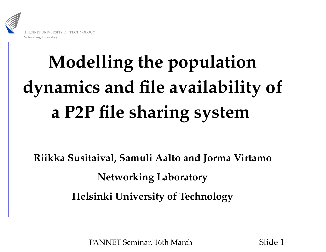

# **Modelling the population dynamics and file availability of <sup>a</sup> P2P file sharing system**

**Riikka Susitaival, Samuli Aalto and Jorma Virtamo Networking Laboratory Helsinki University of Technology**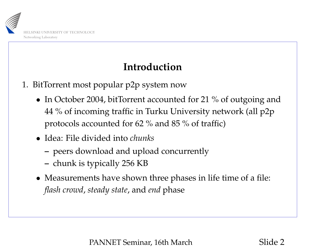

### **Introduction**

- 1. BitTorrent most popular p2p system now
	- In October 2004, bitTorrent accounted for <sup>21</sup> % of outgoing and <sup>44</sup> % of incoming traffic in Turku University network (all p2p protocols accounted for 62 % and 85 % of traffic)
	- Idea: File divided into *chunks*
		- peers download and upload concurrently
		- chunk is typically 256 KB
	- Measurements have shown three phases in life time of <sup>a</sup> file: *flash crowd*, *steady state*, and *end* phase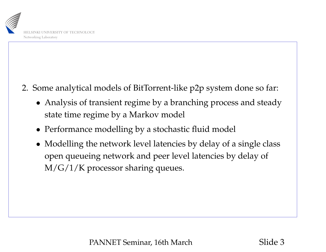

2. Some analytical models of BitTorrent-like p2p system done so far:

- Analysis of transient regime by <sup>a</sup> branching process and steady state time regime by <sup>a</sup> Markov model
- Performance modelling by <sup>a</sup> stochastic fluid model
- Modelling the network level latencies by delay of <sup>a</sup> single class open queueing network and peer level latencies by delay of M/G/1/K processor sharing queues.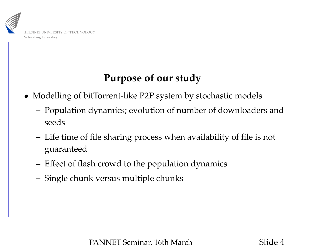

#### **Purpose of our study**

- Modelling of bitTorrent-like P2P system by stochastic models
	- **–** Population dynamics; evolution of number of downloaders and seeds
	- **–** Life time of file sharing process when availability of file is not guaranteed
	- **–**– Effect of flash crowd to the population dynamics
	- **–**Single chunk versus multiple chunks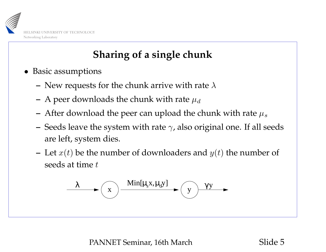

## **Sharing of <sup>a</sup> single chunk**

- Basic assumptions
	- **–**– New requests for the chunk arrive with rate  $\lambda$
	- **–**– A peer downloads the chunk with rate  $\mu_d$
	- **–**– After download the peer can upload the chunk with rate  $\mu_s$
	- **–** $-$  Seeds leave the system with rate  $\gamma$ , also original one. If all seeds are left, system dies.
	- **–**- Let  $x(t)$  be the number of downloaders and  $y(t)$  the number of seeds at time t

$$
\lambda \longrightarrow \boxed{x} \xrightarrow{\text{Min}[\mu_s x, \mu_d y]} \qquad \boxed{y} \xrightarrow{\gamma y} \qquad \boxed{x}
$$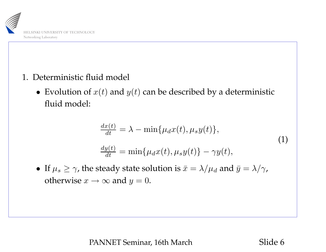

- 1. Deterministic fluid model
	- Evolution of  $x(t)$  and  $y(t)$  can be described by a deterministic fluid model:

$$
\frac{dx(t)}{dt} = \lambda - \min\{\mu_d x(t), \mu_s y(t)\},\
$$
  

$$
\frac{dy(t)}{dt} = \min\{\mu_d x(t), \mu_s y(t)\} - \gamma y(t),
$$
\n(1)

• If  $\mu_s \ge \gamma$ , the steady state solution is  $\bar{x}=\lambda/\mu_d$  and  $\bar{y}=\lambda/\gamma$ , otherwise  $x \to \infty$  and  $y = 0$ .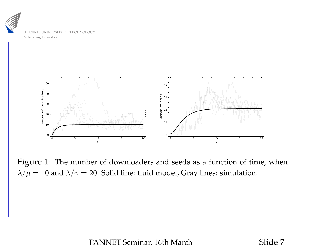



Figure 1: The number of downloaders and seeds as <sup>a</sup> function of time, when  $\lambda/\mu = 10$  and  $\lambda/\gamma = 20$ . Solid line: fluid model, Gray lines: simulation.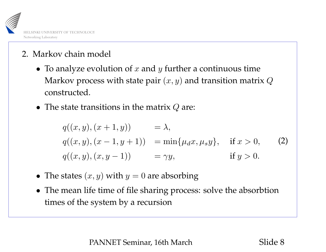

- 2. Markov chain model
	- To analyze evolution of  $x$  and  $y$  further a continuous time Markov process with state pair  $(x, y)$  and transition matrix  $Q$ constructed.
	- The state transitions in the matrix  $Q$  are:

$$
q((x, y), (x + 1, y)) = \lambda,
$$
  
\n
$$
q((x, y), (x - 1, y + 1)) = \min\{\mu_d x, \mu_s y\}, \text{ if } x > 0,
$$
\n
$$
q((x, y), (x, y - 1)) = \gamma y, \text{ if } y > 0.
$$
\n(2)

- The states  $(x, y)$  with  $y = 0$  are absorbing
- The mean life time of file sharing process: solve the absorbtion times of the system by <sup>a</sup> recursion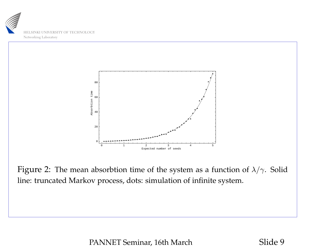



Figure 2: The mean absorbtion time of the system as a function of  $\lambda/\gamma$ . Solid line: truncated Markov process, dots: simulation of infinite system.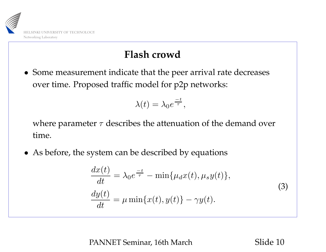

#### **Flash crowd**

• Some measurement indicate that the peer arrival rate decreases over time. Proposed traffic model for p2p networks:

$$
\lambda(t) = \lambda_0 e^{\frac{-t}{\tau}},
$$

where parameter  $\tau$  describes the attenuation of the demand over time.

• As before, the system can be described by equations

$$
\frac{dx(t)}{dt} = \lambda_0 e^{\frac{-t}{\tau}} - \min\{\mu_d x(t), \mu_s y(t)\},
$$
\n
$$
\frac{dy(t)}{dt} = \mu \min\{x(t), y(t)\} - \gamma y(t).
$$
\n(3)

PANNET Seminar, 16th March Slide 10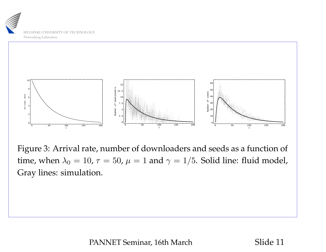



Figure 3: Arrival rate, number of downloaders and seeds as <sup>a</sup> function of time, when  $\lambda_0 = 10$ ,  $\tau = 50$ ,  $\mu = 1$  and  $\gamma = 1/5$ . Solid line: fluid model, Gray lines: simulation.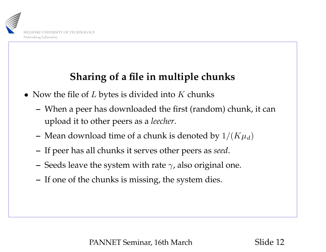

## **Sharing of <sup>a</sup> file in multiple chunks**

- Now the file of  $L$  bytes is divided into  $K$  chunks
	- **–** When <sup>a</sup> peer has downloaded the first (random) chunk, it can upload it to other peers as <sup>a</sup> *leecher*.
	- **–**– Mean download time of a chunk is denoted by  $1/(K\mu_d)$
	- **–**If peer has all chunks it serves other peers as *seed*.
	- **–**– Seeds leave the system with rate  $\gamma$ , also original one.
	- **–** $\hbox{--} \,$  If one of the chunks is missing, the system dies.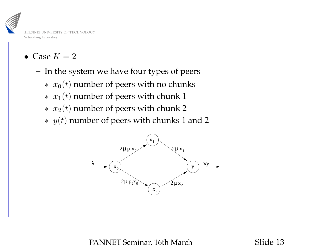

- Case  $K = 2$ 
	- **–**– In the system we have four types of peers
		- $* \; x_0(t)$  number of peers with no chunks
		- $* \; x_1(t)$  number of peers with chunk 1
		- $* \; x_2(t)$  number of peers with chunk 2
		- $*$   $y(t)$  number of peers with chunks 1 and 2

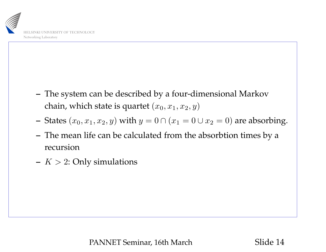

- **–** The system can be described by <sup>a</sup> four-dimensional Markov chain, which state is quartet  $(x_0, x_1, x_2, y)$
- **–**- States  $(x_0, x_1, x_2, y)$  with  $y = 0 \cap (x_1 = 0 \cup x_2 = 0)$  are absorbing.
- **–** The mean life can be calculated from the absorbtion times by <sup>a</sup> recursion
- **–**–  $\,K>2:$  Only simulations